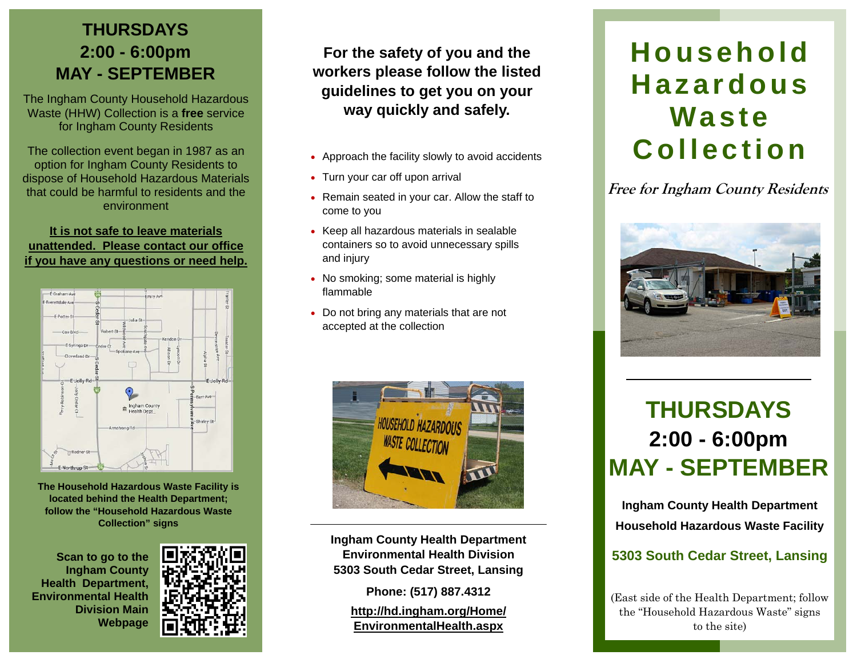# **THURSDAYS 2:00 - 6:00pm MAY - SEPTEMBER**

The Ingham County Household Hazardous Waste (HHW) Collection is a **free** service for Ingham County Residents

The collection event began in 1987 as an option for Ingham County Residents to dispose of Household Hazardous Materials that could be harmful to residents and the environment

#### **It is not safe to leave materials unattended. Please contact our office if you have any questions or need help.**



**The Household Hazardous Waste Facility is located behind the Health Department; follow the "Household Hazardous Waste Collection" signs** 

**Scan to go to the Ingham County Health Department, Environmental Health Division Main Webpage** 



**For the safety of you and the workers please follow the listed guidelines to get you on your way quickly and safely.**

- Approach the facility slowly to avoid accidents
- Turn your car off upon arrival
- Remain seated in your car. Allow the staff to come to you
- Keep all hazardous materials in sealable containers so to avoid unnecessary spills and injury
- No smoking; some material is highly flammable
- Do not bring any materials that are not accepted at the collection



**Ingham County Health Department Environmental Health Division 5303 South Cedar Street, Lansing** 

**Phone: (517) 887.4312 http://hd.ingham.org/Home/ EnvironmentalHealth.aspx** 

# **Household Hazardous Waste Collection**

**Free for Ingham County Residents** 



# **THURSDAYS 2:00 - 6:00pm MAY - SEPTEMBER**

**Ingham County Health Department Household Hazardous Waste Facility** 

### **5303 South Cedar Street, Lansing**

(East side of the Health Department; follow the "Household Hazardous Waste" signs to the site)